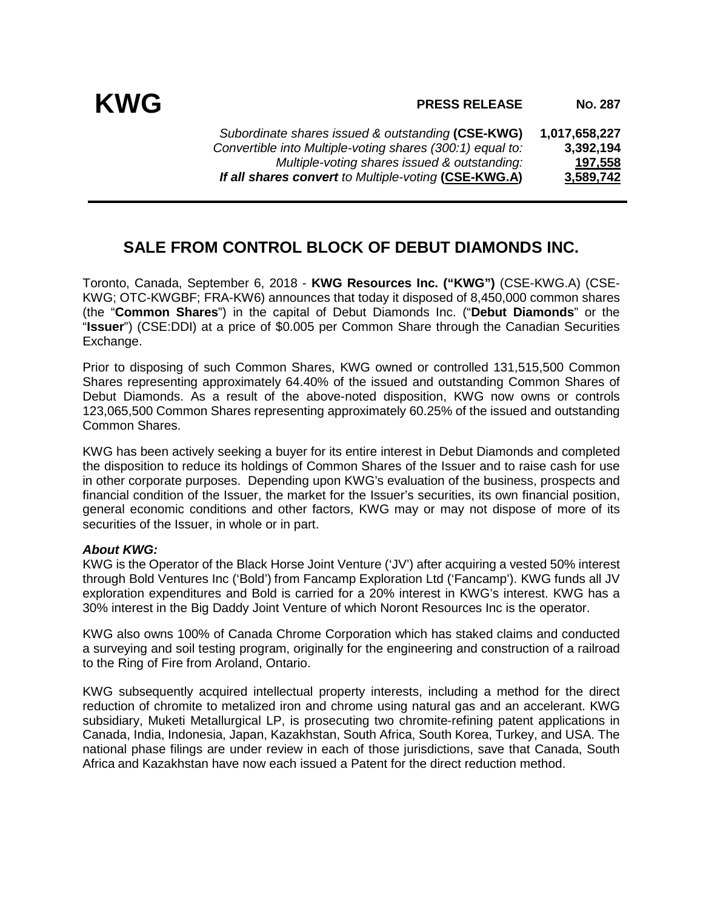*Subordinate shares issued & outstanding* **(CSE-KWG) 1,017,658,227** *Convertible into Multiple-voting shares (300:1) equal to: Multiple-voting shares issued & outstanding:* **197,558** *If all shares convert to Multiple-voting (CSE-KWG.A)* 

## **SALE FROM CONTROL BLOCK OF DEBUT DIAMONDS INC.**

Toronto, Canada, September 6, 2018 - **KWG Resources Inc. ("KWG")** (CSE-KWG.A) (CSE-KWG; OTC-KWGBF; FRA-KW6) announces that today it disposed of 8,450,000 common shares (the "**Common Shares**") in the capital of Debut Diamonds Inc. ("**Debut Diamonds**" or the "**Issuer**") (CSE:DDI) at a price of \$0.005 per Common Share through the Canadian Securities Exchange.

Prior to disposing of such Common Shares, KWG owned or controlled 131,515,500 Common Shares representing approximately 64.40% of the issued and outstanding Common Shares of Debut Diamonds. As a result of the above-noted disposition, KWG now owns or controls 123,065,500 Common Shares representing approximately 60.25% of the issued and outstanding Common Shares.

KWG has been actively seeking a buyer for its entire interest in Debut Diamonds and completed the disposition to reduce its holdings of Common Shares of the Issuer and to raise cash for use in other corporate purposes. Depending upon KWG's evaluation of the business, prospects and financial condition of the Issuer, the market for the Issuer's securities, its own financial position, general economic conditions and other factors, KWG may or may not dispose of more of its securities of the Issuer, in whole or in part.

## *About KWG:*

KWG is the Operator of the Black Horse Joint Venture ('JV') after acquiring a vested 50% interest through Bold Ventures Inc ('Bold') from Fancamp Exploration Ltd ('Fancamp'). KWG funds all JV exploration expenditures and Bold is carried for a 20% interest in KWG's interest. KWG has a 30% interest in the Big Daddy Joint Venture of which Noront Resources Inc is the operator.

KWG also owns 100% of Canada Chrome Corporation which has staked claims and conducted a surveying and soil testing program, originally for the engineering and construction of a railroad to the Ring of Fire from Aroland, Ontario.

KWG subsequently acquired intellectual property interests, including a method for the direct reduction of chromite to metalized iron and chrome using natural gas and an accelerant. KWG subsidiary, Muketi Metallurgical LP, is prosecuting two chromite-refining patent applications in Canada, India, Indonesia, Japan, Kazakhstan, South Africa, South Korea, Turkey, and USA. The national phase filings are under review in each of those jurisdictions, save that Canada, South Africa and Kazakhstan have now each issued a Patent for the direct reduction method.